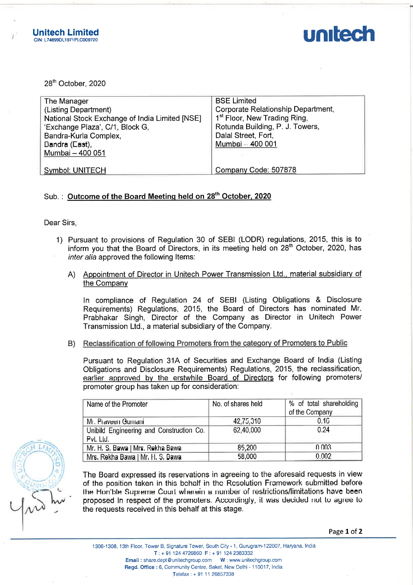



|                                                                                                                                                                                                                                           | nitech Limited<br>L74899DL1971PLC009720                                                                                                                                                                                                                                                    |                                                                                                                                                                                                                                                     |                                                                                                                                                                                    | unitec                                    |  |  |  |
|-------------------------------------------------------------------------------------------------------------------------------------------------------------------------------------------------------------------------------------------|--------------------------------------------------------------------------------------------------------------------------------------------------------------------------------------------------------------------------------------------------------------------------------------------|-----------------------------------------------------------------------------------------------------------------------------------------------------------------------------------------------------------------------------------------------------|------------------------------------------------------------------------------------------------------------------------------------------------------------------------------------|-------------------------------------------|--|--|--|
|                                                                                                                                                                                                                                           | 28th October, 2020                                                                                                                                                                                                                                                                         |                                                                                                                                                                                                                                                     |                                                                                                                                                                                    |                                           |  |  |  |
| The Manager<br>(Listing Department)<br>National Stock Exchange of India Limited [NSE]<br>'Exchange Plaza', C/1, Block G,<br>Bandra-Kurla Complex,<br>Bandra (East),<br>Mumbai - 400 051                                                   |                                                                                                                                                                                                                                                                                            |                                                                                                                                                                                                                                                     | <b>BSE Limited</b><br>Corporate Relationship Department,<br>1 <sup>st</sup> Floor, New Trading Ring,<br>Rotunda Building, P. J. Towers,<br>Dalal Street, Fort,<br>Mumbai - 400 001 |                                           |  |  |  |
|                                                                                                                                                                                                                                           | Symbol: UNITECH                                                                                                                                                                                                                                                                            |                                                                                                                                                                                                                                                     | Company Code: 507878                                                                                                                                                               |                                           |  |  |  |
|                                                                                                                                                                                                                                           |                                                                                                                                                                                                                                                                                            | Sub.: Outcome of the Board Meeting held on 28 <sup>th</sup> October, 2020                                                                                                                                                                           |                                                                                                                                                                                    |                                           |  |  |  |
|                                                                                                                                                                                                                                           | Dear Sirs,                                                                                                                                                                                                                                                                                 |                                                                                                                                                                                                                                                     |                                                                                                                                                                                    |                                           |  |  |  |
| 1) Pursuant to provisions of Regulation 30 of SEBI (LODR) regulations, 2015, this is to<br>inform you that the Board of Directors, in its meeting held on 28 <sup>th</sup> October, 2020, has<br>inter alia approved the following Items: |                                                                                                                                                                                                                                                                                            |                                                                                                                                                                                                                                                     |                                                                                                                                                                                    |                                           |  |  |  |
|                                                                                                                                                                                                                                           | A)                                                                                                                                                                                                                                                                                         | Appointment of Director in Unitech Power Transmission Ltd., material subsidiary of<br>the Company                                                                                                                                                   |                                                                                                                                                                                    |                                           |  |  |  |
|                                                                                                                                                                                                                                           | In compliance of Regulation 24 of SEBI (Listing Obligations & Disclosure<br>Requirements) Regulations, 2015, the Board of Directors has nominated Mr.<br>Prabhakar Singh, Director of the Company as Director in Unitech Power<br>Transmission Ltd., a material subsidiary of the Company. |                                                                                                                                                                                                                                                     |                                                                                                                                                                                    |                                           |  |  |  |
|                                                                                                                                                                                                                                           | B)                                                                                                                                                                                                                                                                                         | Reclassification of following Promoters from the category of Promoters to Public                                                                                                                                                                    |                                                                                                                                                                                    |                                           |  |  |  |
|                                                                                                                                                                                                                                           |                                                                                                                                                                                                                                                                                            | Pursuant to Regulation 31A of Securities and Exchange Board of India (Listing<br>Obligations and Disclosure Requirements) Regulations, 2015, the reclassification,<br>earlier approved by the erstwhile Board of Directors for following promoters/ |                                                                                                                                                                                    |                                           |  |  |  |
|                                                                                                                                                                                                                                           |                                                                                                                                                                                                                                                                                            | Name of the Promoter                                                                                                                                                                                                                                | No. of shares held                                                                                                                                                                 | % of total shareholding<br>of the Company |  |  |  |
|                                                                                                                                                                                                                                           |                                                                                                                                                                                                                                                                                            |                                                                                                                                                                                                                                                     |                                                                                                                                                                                    |                                           |  |  |  |

## Sub.: Outcome of the Board Meeting held on 28<sup>th</sup> October, 2020

- 1) Pursuant to provisions of Regulation 30 of SEB! (LODR) regulations, 2015, this is to inform you that the Board of Directors, in its meeting held on 28<sup>th</sup> October. 2020, has inter alia approved the following Items:
	- A) Appointment of Director in Unitech Power Transmission Ltd., material subsidiary of the Company

|                                                                                                                                                                                                                                                                                                                                                                                                         |                                                                                                                                                                                                                                                     | $r$ ו טט טעד $r = r$ וואו                                                                                                                                                                                                                 |                      |                                                                                                                                                                                                                                |  |  |  |
|---------------------------------------------------------------------------------------------------------------------------------------------------------------------------------------------------------------------------------------------------------------------------------------------------------------------------------------------------------------------------------------------------------|-----------------------------------------------------------------------------------------------------------------------------------------------------------------------------------------------------------------------------------------------------|-------------------------------------------------------------------------------------------------------------------------------------------------------------------------------------------------------------------------------------------|----------------------|--------------------------------------------------------------------------------------------------------------------------------------------------------------------------------------------------------------------------------|--|--|--|
|                                                                                                                                                                                                                                                                                                                                                                                                         |                                                                                                                                                                                                                                                     | <b>Symbol: UNITECH</b>                                                                                                                                                                                                                    | Company Code: 507878 |                                                                                                                                                                                                                                |  |  |  |
|                                                                                                                                                                                                                                                                                                                                                                                                         |                                                                                                                                                                                                                                                     | Sub.: Outcome of the Board Meeting held on 28 <sup>th</sup> October, 2020                                                                                                                                                                 |                      |                                                                                                                                                                                                                                |  |  |  |
| Dear Sirs,                                                                                                                                                                                                                                                                                                                                                                                              |                                                                                                                                                                                                                                                     |                                                                                                                                                                                                                                           |                      |                                                                                                                                                                                                                                |  |  |  |
|                                                                                                                                                                                                                                                                                                                                                                                                         |                                                                                                                                                                                                                                                     | 1) Pursuant to provisions of Regulation 30 of SEBI (LODR) regulations, 2015, this is to<br>inform you that the Board of Directors, in its meeting held on 28 <sup>th</sup> October, 2020, has<br>inter alia approved the following Items: |                      |                                                                                                                                                                                                                                |  |  |  |
|                                                                                                                                                                                                                                                                                                                                                                                                         |                                                                                                                                                                                                                                                     | A) Appointment of Director in Unitech Power Transmission Ltd., material subsidiary of<br>the Company                                                                                                                                      |                      |                                                                                                                                                                                                                                |  |  |  |
|                                                                                                                                                                                                                                                                                                                                                                                                         |                                                                                                                                                                                                                                                     | Transmission Ltd., a material subsidiary of the Company.                                                                                                                                                                                  |                      | In compliance of Regulation 24 of SEBI (Listing Obligations & Disclosure<br>Requirements) Regulations, 2015, the Board of Directors has nominated Mr.<br>Prabhakar Singh, Director of the Company as Director in Unitech Power |  |  |  |
|                                                                                                                                                                                                                                                                                                                                                                                                         | B)                                                                                                                                                                                                                                                  | Reclassification of following Promoters from the category of Promoters to Public                                                                                                                                                          |                      |                                                                                                                                                                                                                                |  |  |  |
|                                                                                                                                                                                                                                                                                                                                                                                                         | Pursuant to Regulation 31A of Securities and Exchange Board of India (Listing<br>Obligations and Disclosure Requirements) Regulations, 2015, the reclassification,<br>earlier approved by the erstwhile Board of Directors for following promoters/ |                                                                                                                                                                                                                                           |                      |                                                                                                                                                                                                                                |  |  |  |
|                                                                                                                                                                                                                                                                                                                                                                                                         |                                                                                                                                                                                                                                                     | Name of the Promoter                                                                                                                                                                                                                      | No. of shares held   | % of total shareholding<br>of the Company                                                                                                                                                                                      |  |  |  |
|                                                                                                                                                                                                                                                                                                                                                                                                         |                                                                                                                                                                                                                                                     | Mr. Praveen Gumani                                                                                                                                                                                                                        | 42,75,310            | 0.1G                                                                                                                                                                                                                           |  |  |  |
|                                                                                                                                                                                                                                                                                                                                                                                                         |                                                                                                                                                                                                                                                     | Unibild Engineering and Construction Co.<br>Pvt. Ltd.                                                                                                                                                                                     | 62,40,000            | 0.24                                                                                                                                                                                                                           |  |  |  |
|                                                                                                                                                                                                                                                                                                                                                                                                         |                                                                                                                                                                                                                                                     | Mr. H. S. Bawa   Mrs. Rekha Bawa                                                                                                                                                                                                          | 85,200               | 0.003                                                                                                                                                                                                                          |  |  |  |
|                                                                                                                                                                                                                                                                                                                                                                                                         |                                                                                                                                                                                                                                                     | Mrs. Rekha Bawa J Mr. H. S. Bawa                                                                                                                                                                                                          | 58,000               | 0.002                                                                                                                                                                                                                          |  |  |  |
| The Board expressed its reservations in agreeing to the aforesaid requests in view<br>of the position taken in this bchalf in the Resolution Framework submitted before<br>the Hon'ble Supreme Court wherein a number of restrictions/limitations have been<br>proposed In respect of the promoters. Accordingly, it was decided not to agree to<br>the requests received in this behalf at this stage. |                                                                                                                                                                                                                                                     |                                                                                                                                                                                                                                           |                      |                                                                                                                                                                                                                                |  |  |  |
|                                                                                                                                                                                                                                                                                                                                                                                                         |                                                                                                                                                                                                                                                     |                                                                                                                                                                                                                                           |                      |                                                                                                                                                                                                                                |  |  |  |
|                                                                                                                                                                                                                                                                                                                                                                                                         |                                                                                                                                                                                                                                                     |                                                                                                                                                                                                                                           |                      | Page 1 of 2                                                                                                                                                                                                                    |  |  |  |